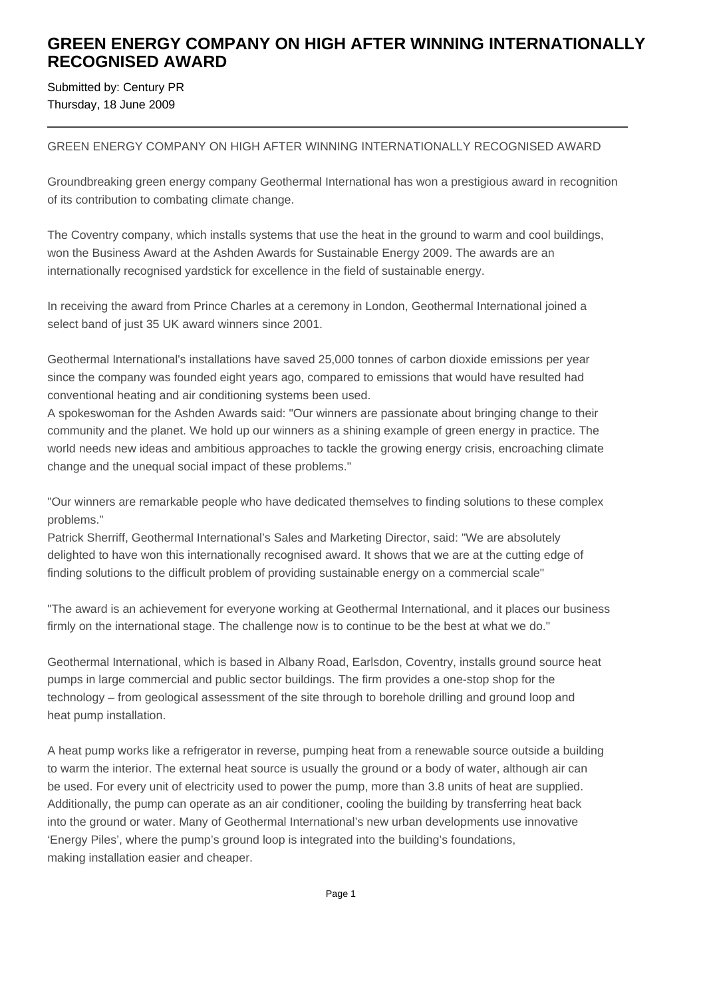## **GREEN ENERGY COMPANY ON HIGH AFTER WINNING INTERNATIONALLY RECOGNISED AWARD**

Submitted by: Century PR Thursday, 18 June 2009

## GREEN ENERGY COMPANY ON HIGH AFTER WINNING INTERNATIONALLY RECOGNISED AWARD

Groundbreaking green energy company Geothermal International has won a prestigious award in recognition of its contribution to combating climate change.

The Coventry company, which installs systems that use the heat in the ground to warm and cool buildings, won the Business Award at the Ashden Awards for Sustainable Energy 2009. The awards are an internationally recognised yardstick for excellence in the field of sustainable energy.

In receiving the award from Prince Charles at a ceremony in London, Geothermal International joined a select band of just 35 UK award winners since 2001.

Geothermal International's installations have saved 25,000 tonnes of carbon dioxide emissions per year since the company was founded eight years ago, compared to emissions that would have resulted had conventional heating and air conditioning systems been used.

A spokeswoman for the Ashden Awards said: "Our winners are passionate about bringing change to their community and the planet. We hold up our winners as a shining example of green energy in practice. The world needs new ideas and ambitious approaches to tackle the growing energy crisis, encroaching climate change and the unequal social impact of these problems."

"Our winners are remarkable people who have dedicated themselves to finding solutions to these complex problems."

Patrick Sherriff, Geothermal International's Sales and Marketing Director, said: "We are absolutely delighted to have won this internationally recognised award. It shows that we are at the cutting edge of finding solutions to the difficult problem of providing sustainable energy on a commercial scale"

"The award is an achievement for everyone working at Geothermal International, and it places our business firmly on the international stage. The challenge now is to continue to be the best at what we do."

Geothermal International, which is based in Albany Road, Earlsdon, Coventry, installs ground source heat pumps in large commercial and public sector buildings. The firm provides a one-stop shop for the technology – from geological assessment of the site through to borehole drilling and ground loop and heat pump installation.

A heat pump works like a refrigerator in reverse, pumping heat from a renewable source outside a building to warm the interior. The external heat source is usually the ground or a body of water, although air can be used. For every unit of electricity used to power the pump, more than 3.8 units of heat are supplied. Additionally, the pump can operate as an air conditioner, cooling the building by transferring heat back into the ground or water. Many of Geothermal International's new urban developments use innovative 'Energy Piles', where the pump's ground loop is integrated into the building's foundations, making installation easier and cheaper.